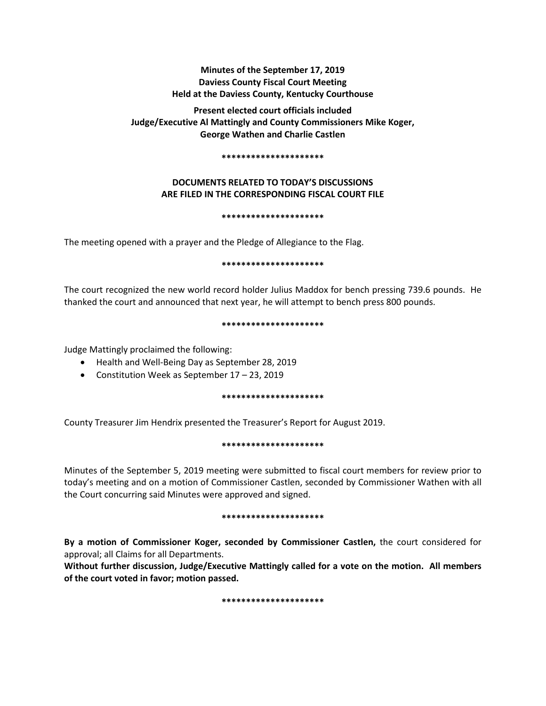# **Minutes of the September 17, 2019 Daviess County Fiscal Court Meeting Held at the Daviess County, Kentucky Courthouse**

**Present elected court officials included Judge/Executive Al Mattingly and County Commissioners Mike Koger, George Wathen and Charlie Castlen** 

## **\*\*\*\*\*\*\*\*\*\*\*\*\*\*\*\*\*\*\*\*\***

# **DOCUMENTS RELATED TO TODAY'S DISCUSSIONS ARE FILED IN THE CORRESPONDING FISCAL COURT FILE**

## **\*\*\*\*\*\*\*\*\*\*\*\*\*\*\*\*\*\*\*\*\***

The meeting opened with a prayer and the Pledge of Allegiance to the Flag.

## **\*\*\*\*\*\*\*\*\*\*\*\*\*\*\*\*\*\*\*\*\***

The court recognized the new world record holder Julius Maddox for bench pressing 739.6 pounds. He thanked the court and announced that next year, he will attempt to bench press 800 pounds.

## **\*\*\*\*\*\*\*\*\*\*\*\*\*\*\*\*\*\*\*\*\***

Judge Mattingly proclaimed the following:

- Health and Well-Being Day as September 28, 2019
- Constitution Week as September 17 23, 2019

## **\*\*\*\*\*\*\*\*\*\*\*\*\*\*\*\*\*\*\*\*\***

County Treasurer Jim Hendrix presented the Treasurer's Report for August 2019.

## **\*\*\*\*\*\*\*\*\*\*\*\*\*\*\*\*\*\*\*\*\***

Minutes of the September 5, 2019 meeting were submitted to fiscal court members for review prior to today's meeting and on a motion of Commissioner Castlen, seconded by Commissioner Wathen with all the Court concurring said Minutes were approved and signed.

## **\*\*\*\*\*\*\*\*\*\*\*\*\*\*\*\*\*\*\*\*\***

**By a motion of Commissioner Koger, seconded by Commissioner Castlen,** the court considered for approval; all Claims for all Departments.

**Without further discussion, Judge/Executive Mattingly called for a vote on the motion. All members of the court voted in favor; motion passed.** 

**\*\*\*\*\*\*\*\*\*\*\*\*\*\*\*\*\*\*\*\*\***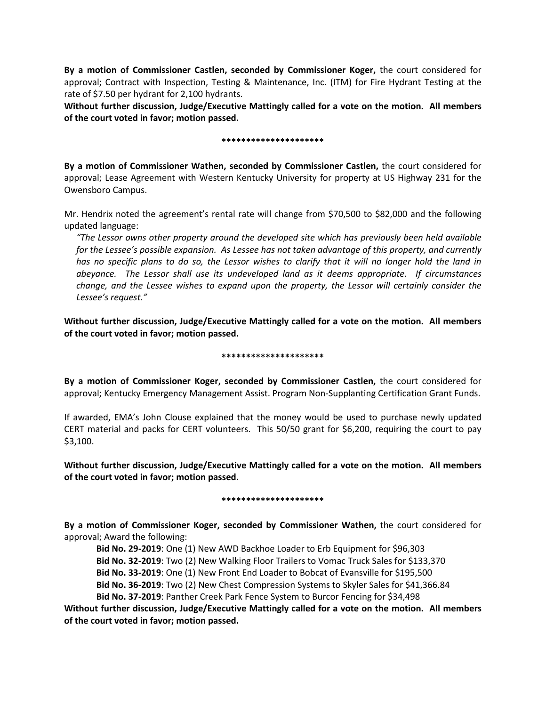**By a motion of Commissioner Castlen, seconded by Commissioner Koger,** the court considered for approval; Contract with Inspection, Testing & Maintenance, Inc. (ITM) for Fire Hydrant Testing at the rate of \$7.50 per hydrant for 2,100 hydrants.

**Without further discussion, Judge/Executive Mattingly called for a vote on the motion. All members of the court voted in favor; motion passed.** 

## **\*\*\*\*\*\*\*\*\*\*\*\*\*\*\*\*\*\*\*\*\***

**By a motion of Commissioner Wathen, seconded by Commissioner Castlen,** the court considered for approval; Lease Agreement with Western Kentucky University for property at US Highway 231 for the Owensboro Campus.

Mr. Hendrix noted the agreement's rental rate will change from \$70,500 to \$82,000 and the following updated language:

*"The Lessor owns other property around the developed site which has previously been held available for the Lessee's possible expansion. As Lessee has not taken advantage of this property, and currently has no specific plans to do so, the Lessor wishes to clarify that it will no longer hold the land in abeyance. The Lessor shall use its undeveloped land as it deems appropriate. If circumstances change, and the Lessee wishes to expand upon the property, the Lessor will certainly consider the Lessee's request."*

**Without further discussion, Judge/Executive Mattingly called for a vote on the motion. All members of the court voted in favor; motion passed.** 

## **\*\*\*\*\*\*\*\*\*\*\*\*\*\*\*\*\*\*\*\*\***

**By a motion of Commissioner Koger, seconded by Commissioner Castlen,** the court considered for approval; Kentucky Emergency Management Assist. Program Non-Supplanting Certification Grant Funds.

If awarded, EMA's John Clouse explained that the money would be used to purchase newly updated CERT material and packs for CERT volunteers. This 50/50 grant for \$6,200, requiring the court to pay \$3,100.

**Without further discussion, Judge/Executive Mattingly called for a vote on the motion. All members of the court voted in favor; motion passed.** 

## **\*\*\*\*\*\*\*\*\*\*\*\*\*\*\*\*\*\*\*\*\***

**By a motion of Commissioner Koger, seconded by Commissioner Wathen,** the court considered for approval; Award the following:

**Bid No. 29-2019**: One (1) New AWD Backhoe Loader to Erb Equipment for \$96,303

**Bid No. 32-2019**: Two (2) New Walking Floor Trailers to Vomac Truck Sales for \$133,370

**Bid No. 33-2019**: One (1) New Front End Loader to Bobcat of Evansville for \$195,500

**Bid No. 36-2019**: Two (2) New Chest Compression Systems to Skyler Sales for \$41,366.84

**Bid No. 37-2019**: Panther Creek Park Fence System to Burcor Fencing for \$34,498

**Without further discussion, Judge/Executive Mattingly called for a vote on the motion. All members of the court voted in favor; motion passed.**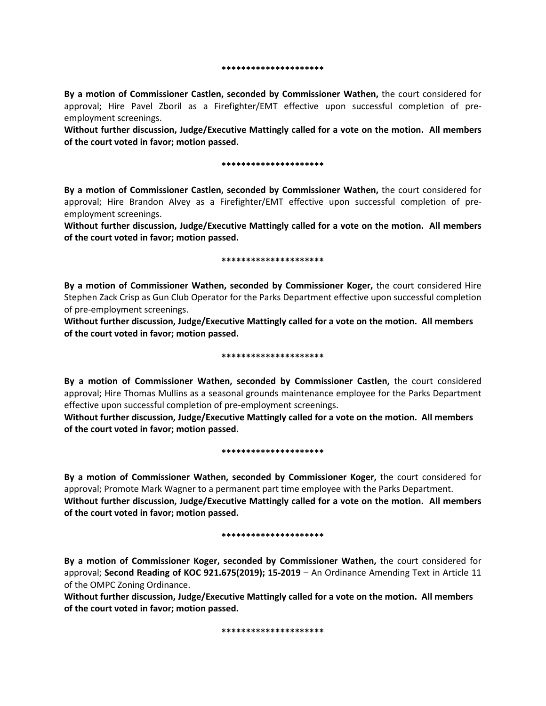#### **\*\*\*\*\*\*\*\*\*\*\*\*\*\*\*\*\*\*\*\*\***

**By a motion of Commissioner Castlen, seconded by Commissioner Wathen,** the court considered for approval; Hire Pavel Zboril as a Firefighter/EMT effective upon successful completion of preemployment screenings.

**Without further discussion, Judge/Executive Mattingly called for a vote on the motion. All members of the court voted in favor; motion passed.** 

## **\*\*\*\*\*\*\*\*\*\*\*\*\*\*\*\*\*\*\*\*\***

**By a motion of Commissioner Castlen, seconded by Commissioner Wathen,** the court considered for approval; Hire Brandon Alvey as a Firefighter/EMT effective upon successful completion of preemployment screenings.

**Without further discussion, Judge/Executive Mattingly called for a vote on the motion. All members of the court voted in favor; motion passed.** 

### **\*\*\*\*\*\*\*\*\*\*\*\*\*\*\*\*\*\*\*\*\***

**By a motion of Commissioner Wathen, seconded by Commissioner Koger,** the court considered Hire Stephen Zack Crisp as Gun Club Operator for the Parks Department effective upon successful completion of pre-employment screenings.

**Without further discussion, Judge/Executive Mattingly called for a vote on the motion. All members of the court voted in favor; motion passed.** 

### **\*\*\*\*\*\*\*\*\*\*\*\*\*\*\*\*\*\*\*\*\***

**By a motion of Commissioner Wathen, seconded by Commissioner Castlen,** the court considered approval; Hire Thomas Mullins as a seasonal grounds maintenance employee for the Parks Department effective upon successful completion of pre-employment screenings.

**Without further discussion, Judge/Executive Mattingly called for a vote on the motion. All members of the court voted in favor; motion passed.** 

## **\*\*\*\*\*\*\*\*\*\*\*\*\*\*\*\*\*\*\*\*\***

**By a motion of Commissioner Wathen, seconded by Commissioner Koger,** the court considered for approval; Promote Mark Wagner to a permanent part time employee with the Parks Department. **Without further discussion, Judge/Executive Mattingly called for a vote on the motion. All members of the court voted in favor; motion passed.** 

#### **\*\*\*\*\*\*\*\*\*\*\*\*\*\*\*\*\*\*\*\*\***

**By a motion of Commissioner Koger, seconded by Commissioner Wathen,** the court considered for approval; **Second Reading of KOC 921.675(2019); 15-2019** – An Ordinance Amending Text in Article 11 of the OMPC Zoning Ordinance.

**Without further discussion, Judge/Executive Mattingly called for a vote on the motion. All members of the court voted in favor; motion passed.** 

**\*\*\*\*\*\*\*\*\*\*\*\*\*\*\*\*\*\*\*\*\***